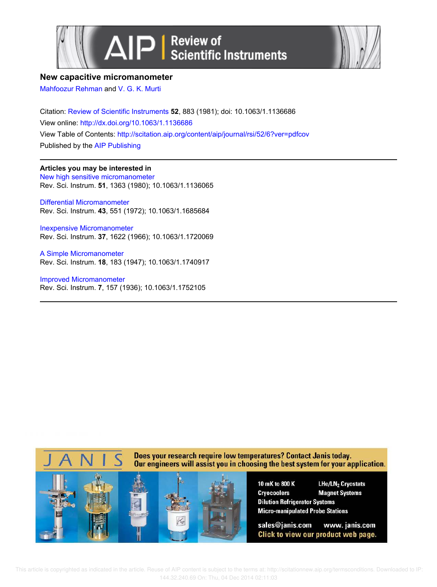



## **New capacitive micromanometer**

Mahfoozur Rehman and V. G. K. Murti

Citation: Review of Scientific Instruments **52**, 883 (1981); doi: 10.1063/1.1136686 View online: http://dx.doi.org/10.1063/1.1136686 View Table of Contents: http://scitation.aip.org/content/aip/journal/rsi/52/6?ver=pdfcov Published by the AIP Publishing

## **Articles you may be interested in**

New high sensitive micromanometer Rev. Sci. Instrum. **51**, 1363 (1980); 10.1063/1.1136065

Differential Micromanometer Rev. Sci. Instrum. **43**, 551 (1972); 10.1063/1.1685684

Inexpensive Micromanometer Rev. Sci. Instrum. **37**, 1622 (1966); 10.1063/1.1720069

A Simple Micromanometer Rev. Sci. Instrum. **18**, 183 (1947); 10.1063/1.1740917

Improved Micromanometer Rev. Sci. Instrum. **7**, 157 (1936); 10.1063/1.1752105



 This article is copyrighted as indicated in the article. Reuse of AIP content is subject to the terms at: http://scitationnew.aip.org/termsconditions. Downloaded to IP: 144.32.240.69 On: Thu, 04 Dec 2014 02:11:03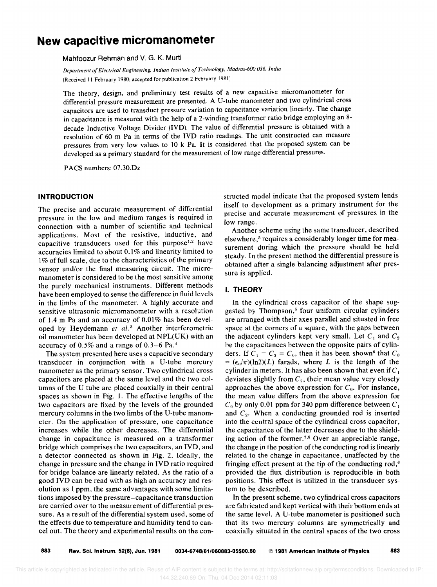# **New capacitive micromanometer**

Mahfoozur Rehman and V. G. K. Murti

*Department of Electrical Engineering. Indian Institute of Technology. Madras-600 036. India*  IReceived 11 February 1980; accepted for publication 2 February 1981)

The theory, design, and preliminary test results of a new capacitive micromanometer for differential pressure measurement are presented. A U-tube manometer and two cylindrical cross capacitors are used to transduct pressure variation to capacitance variation linearly. The change in capacitance is measured with the help of a 2-winding transformer ratio bridge employing an 8 decade Inductive Voltage Divider (IVD). The value of differential pressure is obtained with a resolution of 60 m Pa in terms of the IVD ratio readings. The unit constructed can measure pressures from very low values to 10 k Pa. It is considered that the proposed system can be developed as a primary standard for the measurement of low range differential pressures.

PACS numbers: 07.30.Dz

### **INTRODUCTION**

The precise and accurate measurement of differential pressure in the low and medium ranges is required in connection with a number of scientific and technical applications. Most of the resistive, inductive, and capacitive transducers used for this purpose<sup>1,2</sup> have accuracies limited to about 0.1% and linearity limited to  $1\%$  of full scale, due to the characteristics of the primary sensor and/or the final measuring circuit. The micromanometer is considered to be the most sensitive among the purely mechanical instruments. Different methods have been employed to sense the difference in fluid levels in the limbs of the manometer. A highly accurate and sensitive ultrasonic micromanometer with a resolution of 1.4 m Pa and an accuracy of 0.01% has been developed by Heydemann *et al.*<sup>3</sup> Another interferometric oil manometer has been developed at NPL(UK) with an accuracy of  $0.5\%$  and a range of  $0.3-6$  Pa.<sup>4</sup>

The system presented here uses a capacitive secondary transducer in conjunction with a U-tube mercury manometer as the primary sensor. Two cylindrical cross capacitors are placed at the same level and the two columns of the U tube are placed coaxially in their central spaces as shown in Fig. 1. The effective lengths of the two capacitors are fixed by the levels of the grounded mercury columns in the two limbs of the U-tube manometer. On the application of pressure, one capacitance increases while the other decreases. The differential change in capacitance is measured on a transformer bridge which comprises the two capacitors, an IVD, and a detector connected as shown in Fig. 2. Ideally, the change in pressure and the change in IVD ratio required for bridge balance are linearly related. As the ratio of a good IVD can be read with as high an accuracy and resolution as 1 ppm, the same advantages with some limitations imposed by the pressure-capacitance transduction are carried over to the measurement of differential pressure. As a result of the differential system used, some of the effects due to temperature and humidity tend to cancel out. The theory and experimental results on the constructed model indicate that the proposed system lends itself to development as a primary instrument for the precise and accurate measurement of pressures in the low range.

Another scheme using the same transducer, described elsewhere,<sup>5</sup> requires a considerably longer time for measurement during which the pressure should be held steady. In the present method the differential pressure is obtained after a single balancing adjustment after pressure is applied.

## I. **THEORY**

In the cylindrical cross capacitor of the shape suggested by Thompson,<sup>6</sup> four uniform circular cylinders are arranged with their axes parallel and situated in free space at the corners of a square, with the gaps between the adjacent cylinders kept very small. Let  $C_1$  and  $C_2$ be the capacitances between the opposite pairs of cylinders. If  $C_1 = C_2 = C_0$ , then it has been shown<sup>6</sup> that  $C_0$  $= (\epsilon_0/\pi)(\ln 2)(L)$  farads, where L is the length of the cylinder in meters. It has also been shown that even if  $C_1$ deviates slightly from  $C_2$ , their mean value very closely approaches the above expression for  $C_0$ . For instance, the mean value differs from the above expression for  $C_0$  by only 0.01 ppm for 340 ppm difference between  $C_1$ and C*z •* When a conducting grounded rod is inserted into the central space of the cylindrical cross capacitor, the capacitance of the latter decreases due to the shielding action of the former.<sup>7,8</sup> Over an appreciable range, the change in the position of the conducting rod is linearly related to the change in capacitance, unaffected by the fringing effect present at the tip of the conducting  $rod$ ,<sup> $6$ </sup> provided the flux distribution is reproducible in both positions. This effect is utilized in the transducer system to be described.

In the present scheme, two cylindrical cross capacitors are fabricated and kept vertical with their bottom ends at the same level. A U-tube manometer is positioned such that its two mercury columns are symmetrically and coaxially situated in the central spaces of the two cross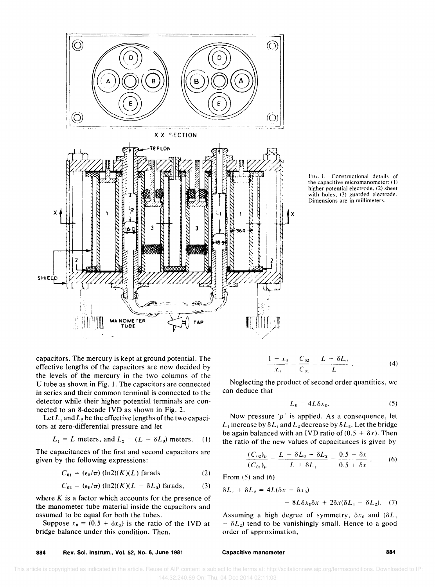

FIG. 1. Constructional details of the capacitive micromanometer: (1) higher potential electrode. (2) sheet with holes, (3) guarded electrode. Dimensions are in millimeters.

capacitors. The mercury is kept at ground potential. The effective lengths of the capacitors are now decided by the levels of the mercury in the two columns of the U tube as shown in Fig. 1. The capacitors are connected in series and their common terminal is connected to the detector while their higher potential terminals are connected to an 8-decade IYO as shown in Fig. 2.

Let  $L_1$  and  $L_2$  be the effective lengths of the two capacitors at zero-differential pressure and let

 $L_1 = L$  meters, and  $L_2 = (L - \delta L_0)$  meters. (1)

The capacitances of the first and second capacitors are given by the following expressions:

$$
C_{01} = (\epsilon_0/\pi) (\ln 2)(K)(L) \text{ farads}
$$
 (2)

$$
C_{02} = (\epsilon_0/\pi) (\ln 2)(K)(L - \delta L_0) \text{ farads}, \qquad (3)
$$

where  $K$  is a factor which accounts for the presence of the manometer tube material inside the capacitors and assumed to be equal for both the tubes.

Suppose  $x_0 = (0.5 + \delta x_0)$  is the ratio of the IVD at bridge balance under this condition. Then,

$$
\frac{1 - x_0}{x_0} = \frac{C_{02}}{C_{01}} = \frac{L - \delta L_0}{L} \tag{4}
$$

Neglecting the product of second order quantities, we can deduce that

$$
L_0 = 4L\delta x_0. \tag{5}
$$

Now pressure ' $p$ ' is applied. As a consequence, let  $L_1$  increase by  $\delta L_1$  and  $L_2$  decrease by  $\delta L_2$ . Let the bridge be again balanced with an IVD ratio of  $(0.5 + \delta x)$ . Then the ratio of the new values of capacitances is given by

$$
\frac{(C_{02})_p}{(C_{01})_p} = \frac{L - \delta L_0 - \delta L_2}{L + \delta L_1} = \frac{0.5 - \delta x}{0.5 + \delta x} \ . \tag{6}
$$

From (5) and (6)

$$
\delta L_1 + \delta L_2 = 4L(\delta x - \delta x_0)
$$
  
- 8L\delta x\_0 \delta x + 2\delta x(\delta L\_1 - \delta L\_2). (7)

Assuming a high degree of symmetry,  $\delta x_0$  and  $(\delta L_1)$  $\delta L_2$ ) tend to be vanishingly small. Hence to a good order of approximation,

**884** Rev. Sci. Instrum., Vol. 52, No.6, June 1981

## Capacitive manometer **884**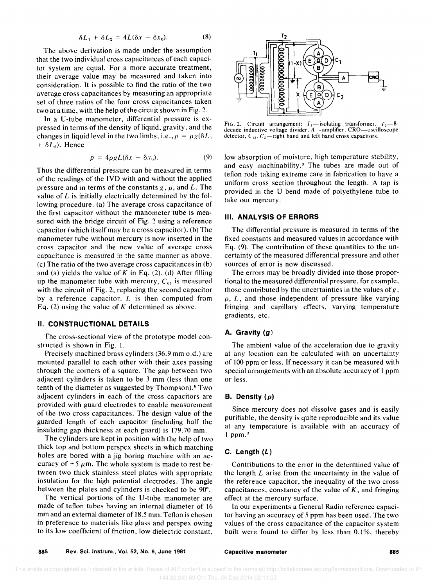$$
\delta L_1 + \delta L_2 = 4L(\delta x - \delta x_0). \tag{8}
$$

The above derivation is made under the assumption that the two individual cross capacitances of each capacitor system are equal. For a more accurate treatment, their average value may be measured and taken into consideration. It is possible to find the ratio of the two average cross capacitances by measuring an appropriate set of three ratios of the four cross capacitances taken two at a time, with the help of the circuit shown in Fig. 2.

In a U-tube manometer, differential pressure is expressed in terms of the density of liquid, gravity, and the changes in liquid level in the two limbs, i.e.,  $p = \rho g(\delta L_1)$  $+ \delta L_2$ ). Hence

$$
p = 4 \rho g L(\delta x - \delta x_0). \tag{9}
$$

Thus the differential pressure can be measured in terms of the readings of the IVD with and without the applied pressure and in terms of the constants  $g, \rho$ , and  $L$ . The value of  $L$  is initially electrically determined by the following procedure. (a) The average cross capacitance of the first capacitor without the manometer tube is measured with the bridge circuit of Fig. 2 using a reference capacitor (which itself may be a cross capacitor). (b) The manometer tube without mercury is now inserted in the cross capacitor and the new value of average cross capacitance is measured in the same manner as above. (c) The ratio of the two average cross capacitances in (b) and (a) yields the value of *K* in Eq. (2). (d) After filling up the manometer tube with mercury,  $C_{01}$  is measured with the circuit of Fig. 2, replacing the second capacitor by a reference capacitor.  $L$  is then computed from Eq. (2) using the value of *K* determined as above.

#### II. CONSTRUCTIONAL DETAILS

The cross-sectional view of the prototype model constructed is shown in Fig. 1.

Precisely machined brass cylinders (36.9 mm o.d.) are mounted parallel to each other with their axes passing through the corners of a square. The gap between two adjacent cylinders is taken to be 3 mm (less than one tenth of the diameter as suggested by Thompson).6 Two adjacent cylinders in each of the cross capacitors are provided with guard electrodes to enable measurement of the two cross capacitances. The design value of the guarded length of each capacitor (including half the insulating gap thickness at each guard) is 179.70 mm.

The cylinders are kept in position with the help of two thick top and bottom perspex sheets in which matching holes are bored with a jig boring machine with an accuracy of  $\pm 5 \mu \text{m}$ . The whole system is made to rest between two thick stainless steel plates with appropriate insulation for the high potential electrodes. The angle between the plates and cylinders is checked to be 90°.

The vertical portions of the U-tube manometer are made of teflon tubes having an internal diameter of 16 mm and an external diameter of 18.5 mm. Teflon is chosen in preference to materials like glass and perspex owing to its low coefficient of friction, low dielectric constant,



FIG. 2. Circuit arrangement;  $T_1$ —isolating transformer,  $T_2$ —8decade inductive voltage divider, A-amplifier, CRO-oscilloscope detector,  $C_{12}$ ,  $C_2$ -right hand and left hand cross capacitors.

low absorption of moisture, high temperature stability, and easy machinability.<sup>9</sup> The tubes are made out of teflon rods taking extreme care in fabrication to have a uniform cross section throughout the length. A tap is provided in the U bend made of polyethylene tube to take out mercury.

## III. ANALYSIS OF ERRORS

The differential pressure is measured in terms of the fixed constants and measured values in accordance with Eq. (9). The contribution of these quantities to the uncertainty of the measured differential pressure and other sources of error is now discussed.

The errors may be broadly divided into those proportional to the measured differential pressure, for example, those contributed by the uncertainties in the values of  $g$ ,  $\rho$ ,  $L$ , and those independent of pressure like varying fringing and capillary effects, varying temperature gradients, etc.

## A. Gravity (g)

The ambient value of the acceleration due to gravity at any location can be calculated with an uncertainty of 100 ppm or less. If necessary it can be measured with special arrangements with an absolute accuracy of 1 ppm or less.

## B. Density  $(\rho)$

Since mercury does not dissolve gases and is easily purifiable, the density is quite reproducible and its value at any temperature is available with an accuracy of 1 ppm. $3$ 

## C. Length (L)

Contributions to the error in the determined value of the length  $L$  arise from the uncertainty in the value of the reference capacitor, the inequality of the two cross capacitances, constancy of the value of  $K$ , and fringing effect at the mercury surface.

In our experiments a General Radio reference capacitor having an accuracy of 5 ppm has been used. The two values of the cross capacitance of the capacitor system built were found to differ by less than 0.1%, thereby

Capacitive manometer and the state of the state and state and state and state and state and state and state and state and state and state and state and state and state and state and state and state and state and state and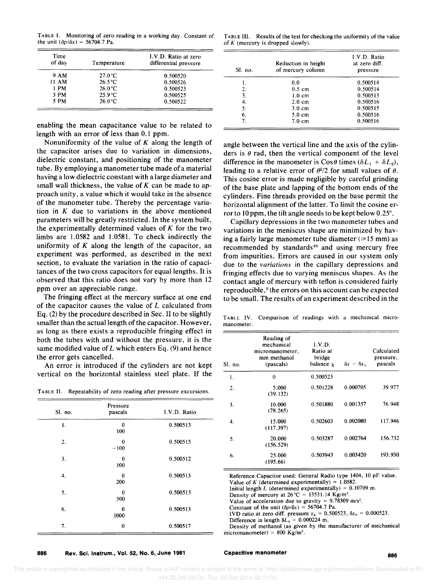TABLE I. Monitoring of zero reading in a working day. Constant of the unit  $(\partial p/\partial x) = 56704.7$  Pa.

| TABLE III. Results of the test for checking the uniformity of the value |
|-------------------------------------------------------------------------|
| of K (mercury is dropped slowly).                                       |

| Time<br>of day | Temperature      | I.V.D. Ratio at zero<br>differential pressure |
|----------------|------------------|-----------------------------------------------|
| 9 AM           | $27.0\degree C$  | 0.500520                                      |
| 11 AM          | $26.5^{\circ}$ C | 0.500526                                      |
| 1 PM           | $26.0\degree C$  | 0.500523                                      |
| 3 PM           | $25.9^{\circ}$ C | 0.500525                                      |
| 5 PM           | $26.0\degree C$  | 0.500522                                      |

enabling the mean capacitance value to be related to length with an error of less than 0.1 ppm.

Nonuniformity of the value of  $K$  along the length of the capacitor arises due to variation in dimensions, dielectric constant, and positioning of the manometer tube. By employing a manometer tube made of a material having a low dielectric constant with a large diameter and small wall thickness, the value of  $K$  can be made to approach unity, a value which it would take in the absence of the manometer tube. Thereby the percentage variation in *K* due to variations in the above mentioned parameters will be greatly restricted. In the system built, the experimentally determined values of *K* for the two limbs are 1.0582 and 1.0581. To check indirectly the uniformity of *K* along the length of the capacitor, an experiment was performed, as described in the next section, to evaluate the variation in the ratio of capacitances of the two cross capacitors for equal lengths. It is observed that this ratio does not vary by more than 12 ppm over an appreciable range.

The fringing effect at the mercury surface at one end of the capacitor causes the value of L calculated from Eq. (2) by the procedure described in Sec. II to be slightly smaller than the actual length of the capacitor. However, as long as there exists a reproducible fringing effect in both the tubes with and without the pressure, it is the same modified value of L which enters Eq.  $(9)$  and hence the error gets cancelled.

An error is introduced if the cylinders are not kept vertical on the horizontal stainless steel plate. If the

|  | TABLE II. Repeatability of zero reading after pressure excursions. |  |  |  |  |
|--|--------------------------------------------------------------------|--|--|--|--|
|--|--------------------------------------------------------------------|--|--|--|--|

| Sl. no. | Pressure<br>pascals | I.V.D. Ratio |
|---------|---------------------|--------------|
| 1.      | $\bf{0}$<br>100     | 0.500513     |
| 2.      | 0<br>$-100$         | 0.500515     |
| 3.      | $\bf{0}$<br>100     | 0.500512     |
| 4.      | $\bf{0}$<br>200     | 0.500513     |
| 5.      | $\bf{0}$<br>500     | 0.500515     |
| 6.      | $\bf{0}$<br>1000    | 0.500513     |
| 7.      | $\bf{0}$            | 0.500517     |

886 Rev. Sci. Instrum., Vol. 52, No.6, June 1981

| Sl. no. | Reduction in height<br>of mercury column | I.V.D. Ratio<br>at zero diff.<br>pressure |
|---------|------------------------------------------|-------------------------------------------|
|         | 0.0                                      | 0.500514                                  |
| 2.      | $0.5 \text{ cm}$                         | 0.500514                                  |
| 3.      | $1.0 \text{ cm}$                         | 0.500513                                  |
| 4.      | $2.0 \text{ cm}$                         | 0.500516                                  |
| 5.      | $3.0 \text{ cm}$                         | 0.500515                                  |
| 6.      | $5.0 \text{ cm}$                         | 0.500516                                  |
| 7.      | $7.0 \text{ cm}$                         | 0.500516                                  |

angle between the vertical line and the axis of the cylinders is  $\theta$  rad, then the vertical component of the level difference in the manometer is  $\cos\theta$  times  $(\delta L_1 + \delta L_2)$ , leading to a relative error of  $\theta^2/2$  for small values of  $\theta$ . This cosine error is made negligible by careful grinding of the base plate and lapping of the bottom ends of the cylinders. Fine threads provided on the base permit the horizontal alignment of the latter. To limit the cosine error to 10 ppm, the tilt angle needs to be kept below 0.25°.

Capillary depressions in the two manometer tubes and variations in the meniscus shape are minimized by having a fairly large manometer tube diameter  $(\geq 15 \text{ mm})$  as recommended by standards $10$  and using mercury free from impurities. Errors are caused in our system only due to the *variations* in the capillary depressions and fringing effects due to varying meniscus shapes. As the contact angle of mercury with teflon is considered fairly reproducible,<sup>9</sup> the errors on this account can be expected to be small. The results of an experiment described in the

TABLE IV. Comparison of readings with a mechanical micromanometer.

| Sl. no. | Reading of<br>mechanical<br>micromanometer,<br>mm methanol<br>(pascals) | I.V.D.<br>Ratio at<br>bridge<br>balance $x$ | $\delta x - \delta x_0$ | Calculated<br>pressure,<br>pascals |
|---------|-------------------------------------------------------------------------|---------------------------------------------|-------------------------|------------------------------------|
| 1.      | 0                                                                       | 0.500523                                    |                         |                                    |
| 2.      | 5.000<br>(39.132)                                                       | 0.501228                                    | 0.000705                | 39.977                             |
| 3.      | 10.000<br>(78.265)                                                      | 0.501880                                    | 0.001357                | 76.948                             |
| 4.      | 15.000<br>(117.397)                                                     | 0.502603                                    | 0.002080                | 117.946                            |
| 5.      | 20.000<br>(156.529)                                                     | 0.503287                                    | 0.002764                | 156.732                            |
| 6.      | 25.000<br>(195.66)                                                      | 0.503943                                    | 0.003420                | 193.930                            |

Reference Capacitor used: General Radio type 1404. 10 pF value. Value of K (determined experimentally) =  $1.0582$ . Initial length L (determined experimentally) =  $0.10709$  m. Density of mercury at 26°C = 13531.14 *Kg/m3.*  Value of acceleration due to gravity = 9.78309 *m/s'.*  Constant of the unit  $(\delta p/\delta x) = 56704.7$  Pa. IVD ratio at zero diff. pressure  $x_0 = 0.500523$ ,  $\delta x_0 = 0.000523$ . Difference in length  $\delta L_0 = 0.000224$  m. Density of methanol (as given by the manufacturer of mechamcal

micromanometer) = 800 *Kg/m3.* 

#### Capacitive manometer and the state of the state and state and state and state and state and state and state and state and state and state and state and state and state and state and state and state and state and state and